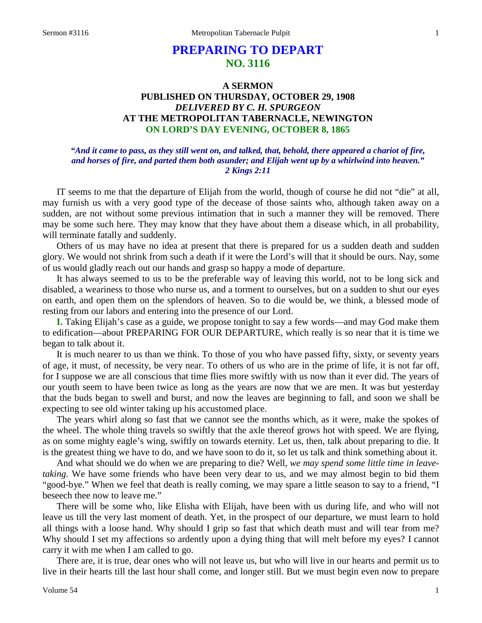# **PREPARING TO DEPART NO. 3116**

## **A SERMON PUBLISHED ON THURSDAY, OCTOBER 29, 1908** *DELIVERED BY C. H. SPURGEON* **AT THE METROPOLITAN TABERNACLE, NEWINGTON ON LORD'S DAY EVENING, OCTOBER 8, 1865**

### *"And it came to pass, as they still went on, and talked, that, behold, there appeared a chariot of fire, and horses of fire, and parted them both asunder; and Elijah went up by a whirlwind into heaven." 2 Kings 2:11*

IT seems to me that the departure of Elijah from the world, though of course he did not "die" at all, may furnish us with a very good type of the decease of those saints who, although taken away on a sudden, are not without some previous intimation that in such a manner they will be removed. There may be some such here. They may know that they have about them a disease which, in all probability, will terminate fatally and suddenly.

Others of us may have no idea at present that there is prepared for us a sudden death and sudden glory. We would not shrink from such a death if it were the Lord's will that it should be ours. Nay, some of us would gladly reach out our hands and grasp so happy a mode of departure.

It has always seemed to us to be the preferable way of leaving this world, not to be long sick and disabled, a weariness to those who nurse us, and a torment to ourselves, but on a sudden to shut our eyes on earth, and open them on the splendors of heaven. So to die would be, we think, a blessed mode of resting from our labors and entering into the presence of our Lord.

**I.** Taking Elijah's case as a guide, we propose tonight to say a few words—and may God make them to edification—about PREPARING FOR OUR DEPARTURE, which really is so near that it is time we began to talk about it.

It is much nearer to us than we think. To those of you who have passed fifty, sixty, or seventy years of age, it must, of necessity, be very near. To others of us who are in the prime of life, it is not far off, for I suppose we are all conscious that time flies more swiftly with us now than it ever did. The years of our youth seem to have been twice as long as the years are now that we are men. It was but yesterday that the buds began to swell and burst, and now the leaves are beginning to fall, and soon we shall be expecting to see old winter taking up his accustomed place.

The years whirl along so fast that we cannot see the months which, as it were, make the spokes of the wheel. The whole thing travels so swiftly that the axle thereof grows hot with speed. We are flying, as on some mighty eagle's wing, swiftly on towards eternity. Let us, then, talk about preparing to die. It is the greatest thing we have to do, and we have soon to do it, so let us talk and think something about it.

And what should we do when we are preparing to die? Well, *we may spend some little time in leavetaking.* We have some friends who have been very dear to us, and we may almost begin to bid them "good-bye." When we feel that death is really coming, we may spare a little season to say to a friend, "I beseech thee now to leave me."

There will be some who, like Elisha with Elijah, have been with us during life, and who will not leave us till the very last moment of death. Yet, in the prospect of our departure, we must learn to hold all things with a loose hand. Why should I grip so fast that which death must and will tear from me? Why should I set my affections so ardently upon a dying thing that will melt before my eyes? I cannot carry it with me when I am called to go.

There are, it is true, dear ones who will not leave us, but who will live in our hearts and permit us to live in their hearts till the last hour shall come, and longer still. But we must begin even now to prepare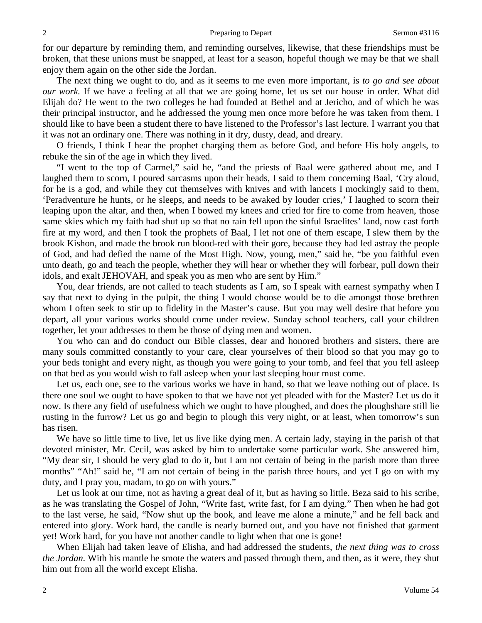for our departure by reminding them, and reminding ourselves, likewise, that these friendships must be broken, that these unions must be snapped, at least for a season, hopeful though we may be that we shall enjoy them again on the other side the Jordan.

The next thing we ought to do, and as it seems to me even more important, is *to go and see about our work.* If we have a feeling at all that we are going home, let us set our house in order. What did Elijah do? He went to the two colleges he had founded at Bethel and at Jericho, and of which he was their principal instructor, and he addressed the young men once more before he was taken from them. I should like to have been a student there to have listened to the Professor's last lecture. I warrant you that it was not an ordinary one. There was nothing in it dry, dusty, dead, and dreary.

O friends, I think I hear the prophet charging them as before God, and before His holy angels, to rebuke the sin of the age in which they lived.

"I went to the top of Carmel," said he, "and the priests of Baal were gathered about me, and I laughed them to scorn, I poured sarcasms upon their heads, I said to them concerning Baal, 'Cry aloud, for he is a god, and while they cut themselves with knives and with lancets I mockingly said to them, 'Peradventure he hunts, or he sleeps, and needs to be awaked by louder cries,' I laughed to scorn their leaping upon the altar, and then, when I bowed my knees and cried for fire to come from heaven, those same skies which my faith had shut up so that no rain fell upon the sinful Israelites' land, now cast forth fire at my word, and then I took the prophets of Baal, I let not one of them escape, I slew them by the brook Kishon, and made the brook run blood-red with their gore, because they had led astray the people of God, and had defied the name of the Most High. Now, young, men," said he, "be you faithful even unto death, go and teach the people, whether they will hear or whether they will forbear, pull down their idols, and exalt JEHOVAH, and speak you as men who are sent by Him."

You, dear friends, are not called to teach students as I am, so I speak with earnest sympathy when I say that next to dying in the pulpit, the thing I would choose would be to die amongst those brethren whom I often seek to stir up to fidelity in the Master's cause. But you may well desire that before you depart, all your various works should come under review. Sunday school teachers, call your children together, let your addresses to them be those of dying men and women.

You who can and do conduct our Bible classes, dear and honored brothers and sisters, there are many souls committed constantly to your care, clear yourselves of their blood so that you may go to your beds tonight and every night, as though you were going to your tomb, and feel that you fell asleep on that bed as you would wish to fall asleep when your last sleeping hour must come.

Let us, each one, see to the various works we have in hand, so that we leave nothing out of place. Is there one soul we ought to have spoken to that we have not yet pleaded with for the Master? Let us do it now. Is there any field of usefulness which we ought to have ploughed, and does the ploughshare still lie rusting in the furrow? Let us go and begin to plough this very night, or at least, when tomorrow's sun has risen.

We have so little time to live, let us live like dying men. A certain lady, staying in the parish of that devoted minister, Mr. Cecil, was asked by him to undertake some particular work. She answered him, "My dear sir, I should be very glad to do it, but I am not certain of being in the parish more than three months" "Ah!" said he, "I am not certain of being in the parish three hours, and yet I go on with my duty, and I pray you, madam, to go on with yours."

Let us look at our time, not as having a great deal of it, but as having so little. Beza said to his scribe, as he was translating the Gospel of John, "Write fast, write fast, for I am dying." Then when he had got to the last verse, he said, "Now shut up the book, and leave me alone a minute," and he fell back and entered into glory. Work hard, the candle is nearly burned out, and you have not finished that garment yet! Work hard, for you have not another candle to light when that one is gone!

When Elijah had taken leave of Elisha, and had addressed the students, *the next thing was to cross the Jordan.* With his mantle he smote the waters and passed through them, and then, as it were, they shut him out from all the world except Elisha.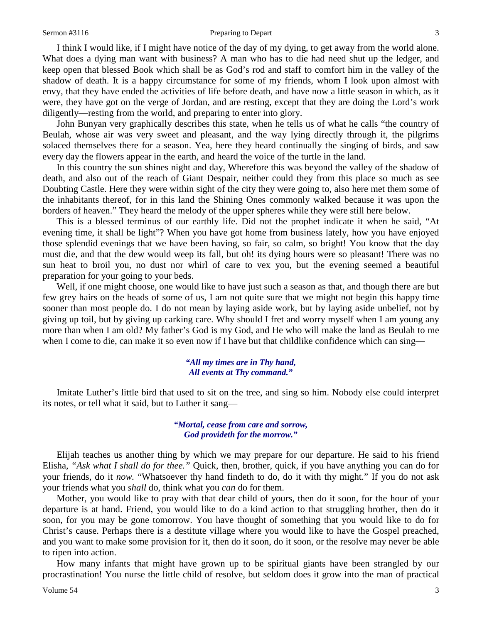### Sermon #3116 **Preparing to Depart 3116** 3

I think I would like, if I might have notice of the day of my dying, to get away from the world alone. What does a dying man want with business? A man who has to die had need shut up the ledger, and keep open that blessed Book which shall be as God's rod and staff to comfort him in the valley of the shadow of death. It is a happy circumstance for some of my friends, whom I look upon almost with envy, that they have ended the activities of life before death, and have now a little season in which, as it were, they have got on the verge of Jordan, and are resting, except that they are doing the Lord's work diligently—resting from the world, and preparing to enter into glory.

John Bunyan very graphically describes this state, when he tells us of what he calls "the country of Beulah, whose air was very sweet and pleasant, and the way lying directly through it, the pilgrims solaced themselves there for a season. Yea, here they heard continually the singing of birds, and saw every day the flowers appear in the earth, and heard the voice of the turtle in the land.

In this country the sun shines night and day, Wherefore this was beyond the valley of the shadow of death, and also out of the reach of Giant Despair, neither could they from this place so much as see Doubting Castle. Here they were within sight of the city they were going to, also here met them some of the inhabitants thereof, for in this land the Shining Ones commonly walked because it was upon the borders of heaven." They heard the melody of the upper spheres while they were still here below.

This is a blessed terminus of our earthly life. Did not the prophet indicate it when he said, "At evening time, it shall be light"? When you have got home from business lately, how you have enjoyed those splendid evenings that we have been having, so fair, so calm, so bright! You know that the day must die, and that the dew would weep its fall, but oh! its dying hours were so pleasant! There was no sun heat to broil you, no dust nor whirl of care to vex you, but the evening seemed a beautiful preparation for your going to your beds.

Well, if one might choose, one would like to have just such a season as that, and though there are but few grey hairs on the heads of some of us, I am not quite sure that we might not begin this happy time sooner than most people do. I do not mean by laying aside work, but by laying aside unbelief, not by giving up toil, but by giving up carking care. Why should I fret and worry myself when I am young any more than when I am old? My father's God is my God, and He who will make the land as Beulah to me when I come to die, can make it so even now if I have but that childlike confidence which can sing—

### *"All my times are in Thy hand, All events at Thy command."*

Imitate Luther's little bird that used to sit on the tree, and sing so him. Nobody else could interpret its notes, or tell what it said, but to Luther it sang—

### *"Mortal, cease from care and sorrow, God provideth for the morrow."*

Elijah teaches us another thing by which we may prepare for our departure. He said to his friend Elisha, *"Ask what I shall do for thee."* Quick, then, brother, quick, if you have anything you can do for your friends, do it *now.* "Whatsoever thy hand findeth to do, do it with thy might." If you do not ask your friends what you *shall* do, think what you *can* do for them.

Mother, you would like to pray with that dear child of yours, then do it soon, for the hour of your departure is at hand. Friend, you would like to do a kind action to that struggling brother, then do it soon, for you may be gone tomorrow. You have thought of something that you would like to do for Christ's cause. Perhaps there is a destitute village where you would like to have the Gospel preached, and you want to make some provision for it, then do it soon, do it soon, or the resolve may never be able to ripen into action.

How many infants that might have grown up to be spiritual giants have been strangled by our procrastination! You nurse the little child of resolve, but seldom does it grow into the man of practical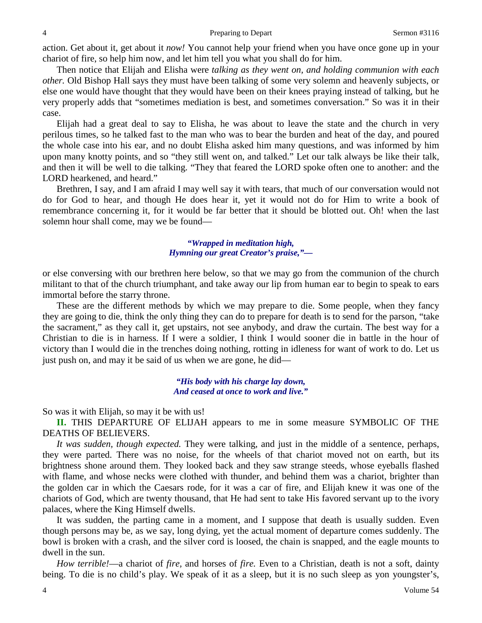action. Get about it, get about it *now!* You cannot help your friend when you have once gone up in your chariot of fire, so help him now, and let him tell you what you shall do for him.

Then notice that Elijah and Elisha were *talking as they went on, and holding communion with each other.* Old Bishop Hall says they must have been talking of some very solemn and heavenly subjects, or else one would have thought that they would have been on their knees praying instead of talking, but he very properly adds that "sometimes mediation is best, and sometimes conversation." So was it in their case.

Elijah had a great deal to say to Elisha, he was about to leave the state and the church in very perilous times, so he talked fast to the man who was to bear the burden and heat of the day, and poured the whole case into his ear, and no doubt Elisha asked him many questions, and was informed by him upon many knotty points, and so "they still went on, and talked." Let our talk always be like their talk, and then it will be well to die talking. "They that feared the LORD spoke often one to another: and the LORD hearkened, and heard."

Brethren, I say, and I am afraid I may well say it with tears, that much of our conversation would not do for God to hear, and though He does hear it, yet it would not do for Him to write a book of remembrance concerning it, for it would be far better that it should be blotted out. Oh! when the last solemn hour shall come, may we be found—

> *"Wrapped in meditation high, Hymning our great Creator's praise,"—*

or else conversing with our brethren here below, so that we may go from the communion of the church militant to that of the church triumphant, and take away our lip from human ear to begin to speak to ears immortal before the starry throne.

These are the different methods by which we may prepare to die. Some people, when they fancy they are going to die, think the only thing they can do to prepare for death is to send for the parson, "take the sacrament," as they call it, get upstairs, not see anybody, and draw the curtain. The best way for a Christian to die is in harness. If I were a soldier, I think I would sooner die in battle in the hour of victory than I would die in the trenches doing nothing, rotting in idleness for want of work to do. Let us just push on, and may it be said of us when we are gone, he did—

> *"His body with his charge lay down, And ceased at once to work and live."*

So was it with Elijah, so may it be with us!

**II.** THIS DEPARTURE OF ELIJAH appears to me in some measure SYMBOLIC OF THE DEATHS OF BELIEVERS.

*It was sudden, though expected.* They were talking, and just in the middle of a sentence, perhaps, they were parted. There was no noise, for the wheels of that chariot moved not on earth, but its brightness shone around them. They looked back and they saw strange steeds, whose eyeballs flashed with flame, and whose necks were clothed with thunder, and behind them was a chariot, brighter than the golden car in which the Caesars rode, for it was a car of fire, and Elijah knew it was one of the chariots of God, which are twenty thousand, that He had sent to take His favored servant up to the ivory palaces, where the King Himself dwells.

It was sudden, the parting came in a moment, and I suppose that death is usually sudden. Even though persons may be, as we say, long dying, yet the actual moment of departure comes suddenly. The bowl is broken with a crash, and the silver cord is loosed, the chain is snapped, and the eagle mounts to dwell in the sun.

*How terrible!*—a chariot of *fire,* and horses of *fire.* Even to a Christian, death is not a soft, dainty being. To die is no child's play. We speak of it as a sleep, but it is no such sleep as yon youngster's,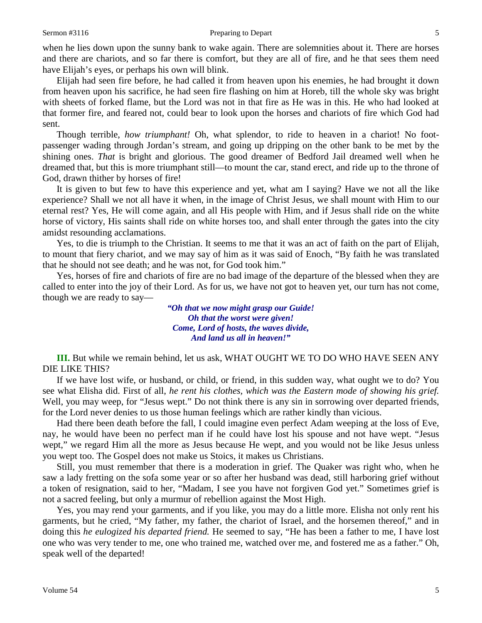when he lies down upon the sunny bank to wake again. There are solemnities about it. There are horses and there are chariots, and so far there is comfort, but they are all of fire, and he that sees them need have Elijah's eyes, or perhaps his own will blink.

Elijah had seen fire before, he had called it from heaven upon his enemies, he had brought it down from heaven upon his sacrifice, he had seen fire flashing on him at Horeb, till the whole sky was bright with sheets of forked flame, but the Lord was not in that fire as He was in this. He who had looked at that former fire, and feared not, could bear to look upon the horses and chariots of fire which God had sent.

Though terrible, *how triumphant!* Oh, what splendor, to ride to heaven in a chariot! No footpassenger wading through Jordan's stream, and going up dripping on the other bank to be met by the shining ones. *That* is bright and glorious. The good dreamer of Bedford Jail dreamed well when he dreamed that, but this is more triumphant still—to mount the car, stand erect, and ride up to the throne of God, drawn thither by horses of fire!

It is given to but few to have this experience and yet, what am I saying? Have we not all the like experience? Shall we not all have it when, in the image of Christ Jesus, we shall mount with Him to our eternal rest? Yes, He will come again, and all His people with Him, and if Jesus shall ride on the white horse of victory, His saints shall ride on white horses too, and shall enter through the gates into the city amidst resounding acclamations.

Yes, to die is triumph to the Christian. It seems to me that it was an act of faith on the part of Elijah, to mount that fiery chariot, and we may say of him as it was said of Enoch, "By faith he was translated that he should not see death; and he was not, for God took him."

Yes, horses of fire and chariots of fire are no bad image of the departure of the blessed when they are called to enter into the joy of their Lord. As for us, we have not got to heaven yet, our turn has not come, though we are ready to say—

> *"Oh that we now might grasp our Guide! Oh that the worst were given! Come, Lord of hosts, the waves divide, And land us all in heaven!"*

**III.** But while we remain behind, let us ask, WHAT OUGHT WE TO DO WHO HAVE SEEN ANY DIE LIKE THIS?

If we have lost wife, or husband, or child, or friend, in this sudden way, what ought we to do? You see what Elisha did. First of all, *he rent his clothes, which was the Eastern mode of showing his grief.*  Well, you may weep, for "Jesus wept." Do not think there is any sin in sorrowing over departed friends, for the Lord never denies to us those human feelings which are rather kindly than vicious.

Had there been death before the fall, I could imagine even perfect Adam weeping at the loss of Eve, nay, he would have been no perfect man if he could have lost his spouse and not have wept. "Jesus wept," we regard Him all the more as Jesus because He wept, and you would not be like Jesus unless you wept too. The Gospel does not make us Stoics, it makes us Christians.

Still, you must remember that there is a moderation in grief. The Quaker was right who, when he saw a lady fretting on the sofa some year or so after her husband was dead, still harboring grief without a token of resignation, said to her, "Madam, I see you have not forgiven God yet." Sometimes grief is not a sacred feeling, but only a murmur of rebellion against the Most High.

Yes, you may rend your garments, and if you like, you may do a little more. Elisha not only rent his garments, but he cried, "My father, my father, the chariot of Israel, and the horsemen thereof," and in doing this *he eulogized his departed friend.* He seemed to say, "He has been a father to me, I have lost one who was very tender to me, one who trained me, watched over me, and fostered me as a father." Oh, speak well of the departed!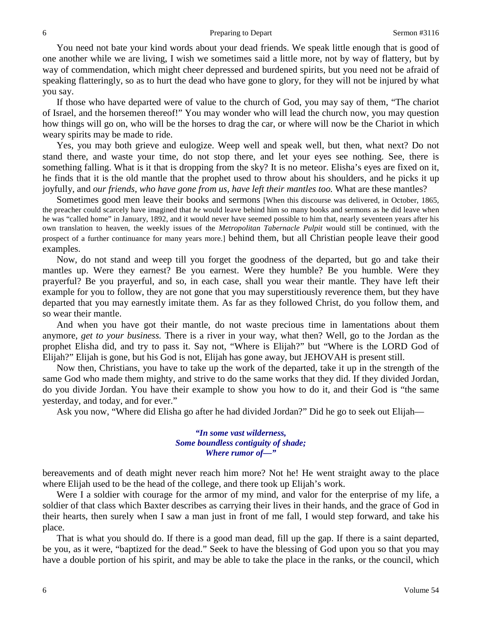You need not bate your kind words about your dead friends. We speak little enough that is good of one another while we are living, I wish we sometimes said a little more, not by way of flattery, but by way of commendation, which might cheer depressed and burdened spirits, but you need not be afraid of speaking flatteringly, so as to hurt the dead who have gone to glory, for they will not be injured by what you say.

If those who have departed were of value to the church of God, you may say of them, "The chariot of Israel, and the horsemen thereof!" You may wonder who will lead the church now, you may question how things will go on, who will be the horses to drag the car, or where will now be the Chariot in which weary spirits may be made to ride.

Yes, you may both grieve and eulogize. Weep well and speak well, but then, what next? Do not stand there, and waste your time, do not stop there, and let your eyes see nothing. See, there is something falling. What is it that is dropping from the sky? It is no meteor. Elisha's eyes are fixed on it, he finds that it is the old mantle that the prophet used to throw about his shoulders, and he picks it up joyfully, and *our friends, who have gone from us, have left their mantles too.* What are these mantles?

Sometimes good men leave their books and sermons [When this discourse was delivered, in October, 1865, the preacher could scarcely have imagined that *he* would leave behind him so many books and sermons as he did leave when he was "called home" in January, 1892, and it would never have seemed possible to him that, nearly seventeen years after his own translation to heaven, the weekly issues of the *Metropolitan Tabernacle Pulpit* would still be continued, with the prospect of a further continuance for many years more.] behind them, but all Christian people leave their good examples.

Now, do not stand and weep till you forget the goodness of the departed, but go and take their mantles up. Were they earnest? Be you earnest. Were they humble? Be you humble. Were they prayerful? Be you prayerful, and so, in each case, shall you wear their mantle. They have left their example for you to follow, they are not gone that you may superstitiously reverence them, but they have departed that you may earnestly imitate them. As far as they followed Christ, do you follow them, and so wear their mantle.

And when you have got their mantle, do not waste precious time in lamentations about them anymore, *get to your business.* There is a river in your way, what then? Well, go to the Jordan as the prophet Elisha did, and try to pass it. Say not, "Where is Elijah?" but "Where is the LORD God of Elijah?" Elijah is gone, but his God is not, Elijah has gone away, but JEHOVAH is present still.

Now then, Christians, you have to take up the work of the departed, take it up in the strength of the same God who made them mighty, and strive to do the same works that they did. If they divided Jordan, do you divide Jordan. You have their example to show you how to do it, and their God is "the same yesterday, and today, and for ever."

Ask you now, "Where did Elisha go after he had divided Jordan?" Did he go to seek out Elijah—

### *"In some vast wilderness, Some boundless contiguity of shade; Where rumor of—"*

bereavements and of death might never reach him more? Not he! He went straight away to the place where Elijah used to be the head of the college, and there took up Elijah's work.

Were I a soldier with courage for the armor of my mind, and valor for the enterprise of my life, a soldier of that class which Baxter describes as carrying their lives in their hands, and the grace of God in their hearts, then surely when I saw a man just in front of me fall, I would step forward, and take his place.

That is what you should do. If there is a good man dead, fill up the gap. If there is a saint departed, be you, as it were, "baptized for the dead." Seek to have the blessing of God upon you so that you may have a double portion of his spirit, and may be able to take the place in the ranks, or the council, which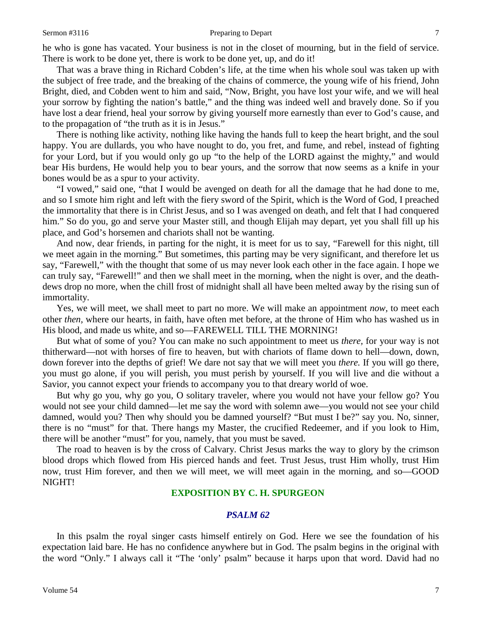### Sermon #3116 **Preparing to Depart 7** Preparing to Depart 7

he who is gone has vacated. Your business is not in the closet of mourning, but in the field of service. There is work to be done yet, there is work to be done yet, up, and do it!

That was a brave thing in Richard Cobden's life, at the time when his whole soul was taken up with the subject of free trade, and the breaking of the chains of commerce, the young wife of his friend, John Bright, died, and Cobden went to him and said, "Now, Bright, you have lost your wife, and we will heal your sorrow by fighting the nation's battle," and the thing was indeed well and bravely done. So if you have lost a dear friend, heal your sorrow by giving yourself more earnestly than ever to God's cause, and to the propagation of "the truth as it is in Jesus."

There is nothing like activity, nothing like having the hands full to keep the heart bright, and the soul happy. You are dullards, you who have nought to do, you fret, and fume, and rebel, instead of fighting for your Lord, but if you would only go up "to the help of the LORD against the mighty," and would bear His burdens, He would help you to bear yours, and the sorrow that now seems as a knife in your bones would be as a spur to your activity.

"I vowed," said one, "that I would be avenged on death for all the damage that he had done to me, and so I smote him right and left with the fiery sword of the Spirit, which is the Word of God, I preached the immortality that there is in Christ Jesus, and so I was avenged on death, and felt that I had conquered him." So do you, go and serve your Master still, and though Elijah may depart, yet you shall fill up his place, and God's horsemen and chariots shall not be wanting.

And now, dear friends, in parting for the night, it is meet for us to say, "Farewell for this night, till we meet again in the morning." But sometimes, this parting may be very significant, and therefore let us say, "Farewell," with the thought that some of us may never look each other in the face again. I hope we can truly say, "Farewell!" and then we shall meet in the morning, when the night is over, and the deathdews drop no more, when the chill frost of midnight shall all have been melted away by the rising sun of immortality.

Yes, we will meet, we shall meet to part no more. We will make an appointment *now,* to meet each other *then,* where our hearts, in faith, have often met before, at the throne of Him who has washed us in His blood, and made us white, and so—FAREWELL TILL THE MORNING!

But what of some of you? You can make no such appointment to meet us *there,* for your way is not thitherward—not with horses of fire to heaven, but with chariots of flame down to hell—down, down, down forever into the depths of grief! We dare not say that we will meet you *there.* If you will go there, you must go alone, if you will perish, you must perish by yourself. If you will live and die without a Savior, you cannot expect your friends to accompany you to that dreary world of woe.

But why go you, why go you, O solitary traveler, where you would not have your fellow go? You would not see your child damned—let me say the word with solemn awe—you would not see your child damned, would you? Then why should you be damned yourself? "But must I be?" say you. No, sinner, there is no "must" for that. There hangs my Master, the crucified Redeemer, and if you look to Him, there will be another "must" for you, namely, that you must be saved.

The road to heaven is by the cross of Calvary. Christ Jesus marks the way to glory by the crimson blood drops which flowed from His pierced hands and feet. Trust Jesus, trust Him wholly, trust Him now, trust Him forever, and then we will meet, we will meet again in the morning, and so—GOOD NIGHT!

## **EXPOSITION BY C. H. SPURGEON**

## *PSALM 62*

In this psalm the royal singer casts himself entirely on God. Here we see the foundation of his expectation laid bare. He has no confidence anywhere but in God. The psalm begins in the original with the word "Only." I always call it "The 'only' psalm" because it harps upon that word. David had no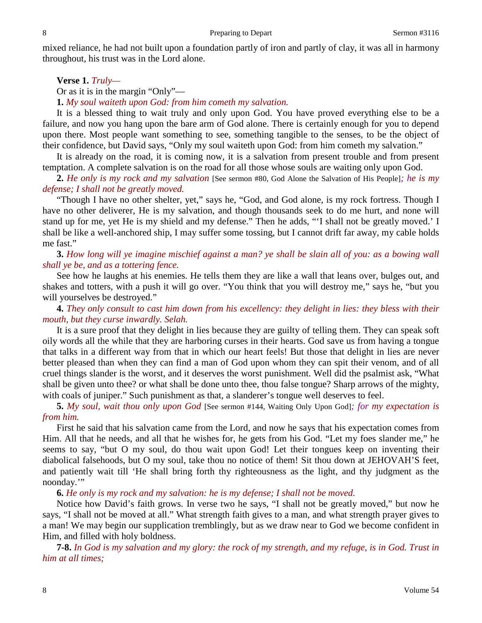mixed reliance, he had not built upon a foundation partly of iron and partly of clay, it was all in harmony throughout, his trust was in the Lord alone.

**Verse 1.** *Truly—*

Or as it is in the margin "Only"—

**1.** *My soul waiteth upon God: from him cometh my salvation.* 

It is a blessed thing to wait truly and only upon God. You have proved everything else to be a failure, and now you hang upon the bare arm of God alone. There is certainly enough for you to depend upon there. Most people want something to see, something tangible to the senses, to be the object of their confidence, but David says, "Only my soul waiteth upon God: from him cometh my salvation."

It is already on the road, it is coming now, it is a salvation from present trouble and from present temptation. A complete salvation is on the road for all those whose souls are waiting only upon God.

**2.** *He only is my rock and my salvation* [See sermon #80, God Alone the Salvation of His People]*; he is my defense; I shall not be greatly moved.*

"Though I have no other shelter, yet," says he, "God, and God alone, is my rock fortress. Though I have no other deliverer, He is my salvation, and though thousands seek to do me hurt, and none will stand up for me, yet He is my shield and my defense." Then he adds, "'I shall not be greatly moved.' I shall be like a well-anchored ship, I may suffer some tossing, but I cannot drift far away, my cable holds me fast."

**3.** *How long will ye imagine mischief against a man? ye shall be slain all of you: as a bowing wall shall ye be, and as a tottering fence.*

See how he laughs at his enemies. He tells them they are like a wall that leans over, bulges out, and shakes and totters, with a push it will go over. "You think that you will destroy me," says he, "but you will yourselves be destroyed."

**4.** *They only consult to cast him down from his excellency: they delight in lies: they bless with their mouth, but they curse inwardly. Selah.*

It is a sure proof that they delight in lies because they are guilty of telling them. They can speak soft oily words all the while that they are harboring curses in their hearts. God save us from having a tongue that talks in a different way from that in which our heart feels! But those that delight in lies are never better pleased than when they can find a man of God upon whom they can spit their venom, and of all cruel things slander is the worst, and it deserves the worst punishment. Well did the psalmist ask, "What shall be given unto thee? or what shall be done unto thee, thou false tongue? Sharp arrows of the mighty, with coals of juniper." Such punishment as that, a slanderer's tongue well deserves to feel.

**5.** *My soul, wait thou only upon God* [See sermon #144, Waiting Only Upon God]*; for my expectation is from him.*

First he said that his salvation came from the Lord, and now he says that his expectation comes from Him. All that he needs, and all that he wishes for, he gets from his God. "Let my foes slander me," he seems to say, "but O my soul, do thou wait upon God! Let their tongues keep on inventing their diabolical falsehoods, but O my soul, take thou no notice of them! Sit thou down at JEHOVAH'S feet, and patiently wait till 'He shall bring forth thy righteousness as the light, and thy judgment as the noonday."

**6.** *He only is my rock and my salvation: he is my defense; I shall not be moved.*

Notice how David's faith grows. In verse two he says, "I shall not be greatly moved," but now he says, "I shall not be moved at all." What strength faith gives to a man, and what strength prayer gives to a man! We may begin our supplication tremblingly, but as we draw near to God we become confident in Him, and filled with holy boldness.

**7-8.** *In God is my salvation and my glory: the rock of my strength, and my refuge, is in God. Trust in him at all times;*